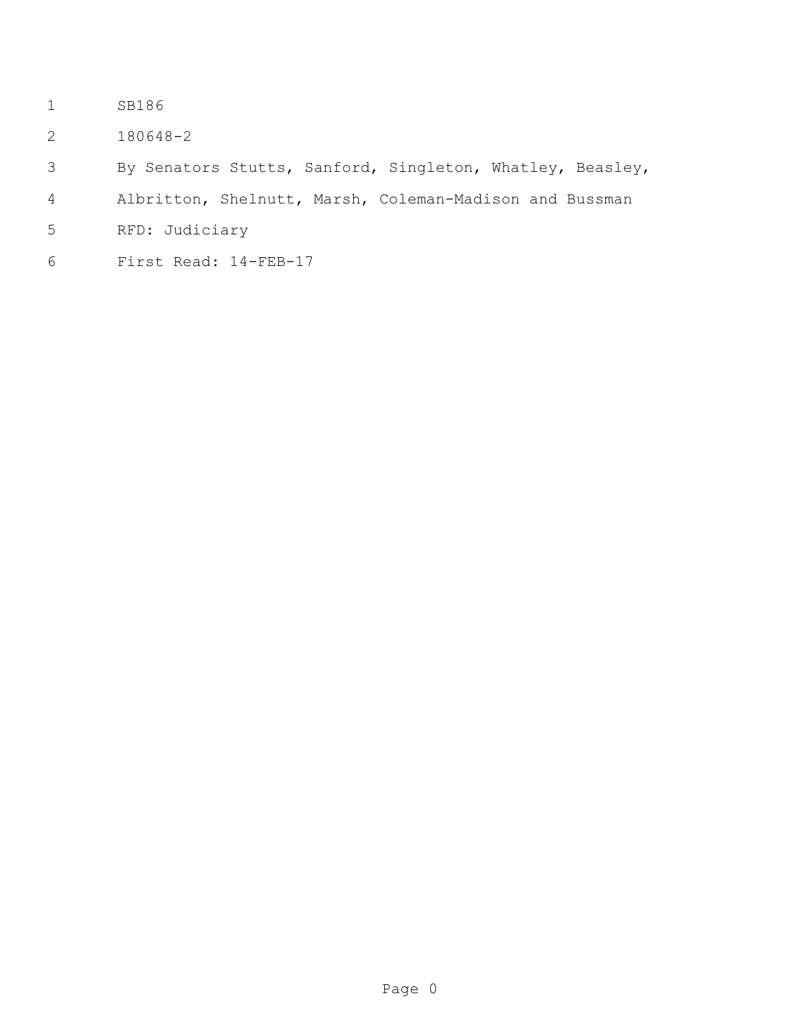- SB186
- 180648-2
- By Senators Stutts, Sanford, Singleton, Whatley, Beasley,
- Albritton, Shelnutt, Marsh, Coleman-Madison and Bussman
- RFD: Judiciary
- First Read: 14-FEB-17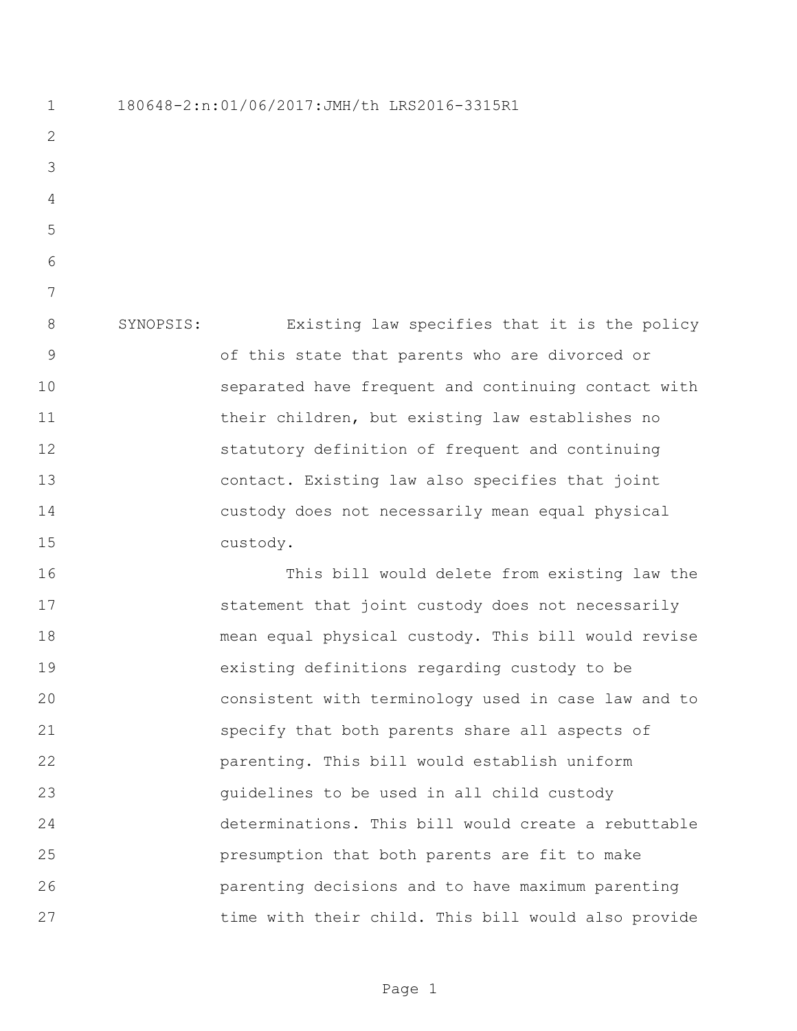SYNOPSIS: Existing law specifies that it is the policy of this state that parents who are divorced or separated have frequent and continuing contact with their children, but existing law establishes no statutory definition of frequent and continuing contact. Existing law also specifies that joint custody does not necessarily mean equal physical custody. This bill would delete from existing law the 17 statement that joint custody does not necessarily mean equal physical custody. This bill would revise existing definitions regarding custody to be consistent with terminology used in case law and to specify that both parents share all aspects of parenting. This bill would establish uniform guidelines to be used in all child custody determinations. This bill would create a rebuttable

180648-2:n:01/06/2017:JMH/th LRS2016-3315R1

 presumption that both parents are fit to make parenting decisions and to have maximum parenting time with their child. This bill would also provide

Page 1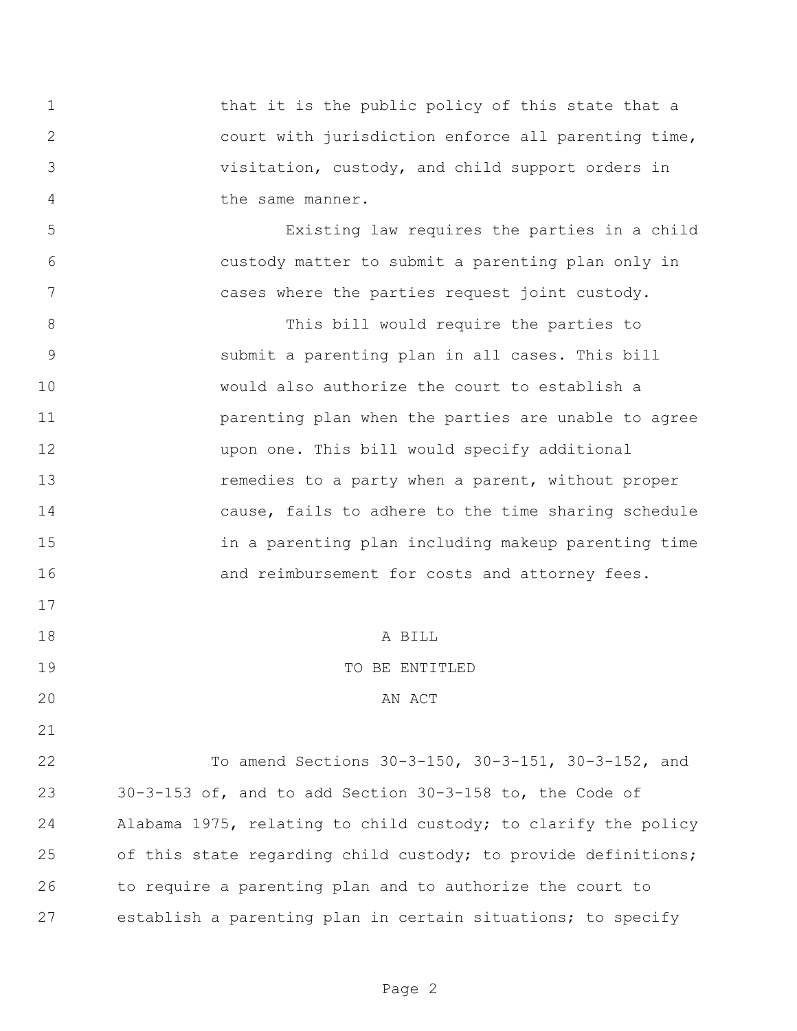1 that it is the public policy of this state that a court with jurisdiction enforce all parenting time, visitation, custody, and child support orders in 4 the same manner.

 Existing law requires the parties in a child custody matter to submit a parenting plan only in cases where the parties request joint custody.

 This bill would require the parties to submit a parenting plan in all cases. This bill would also authorize the court to establish a **parenting plan when the parties are unable to agree**  upon one. This bill would specify additional **13** remedies to a party when a parent, without proper cause, fails to adhere to the time sharing schedule in a parenting plan including makeup parenting time **and reimbursement for costs and attorney fees.** 

A BILL

## TO BE ENTITLED

## 20 AN ACT

 To amend Sections 30-3-150, 30-3-151, 30-3-152, and 30-3-153 of, and to add Section 30-3-158 to, the Code of Alabama 1975, relating to child custody; to clarify the policy of this state regarding child custody; to provide definitions; to require a parenting plan and to authorize the court to establish a parenting plan in certain situations; to specify

Page 2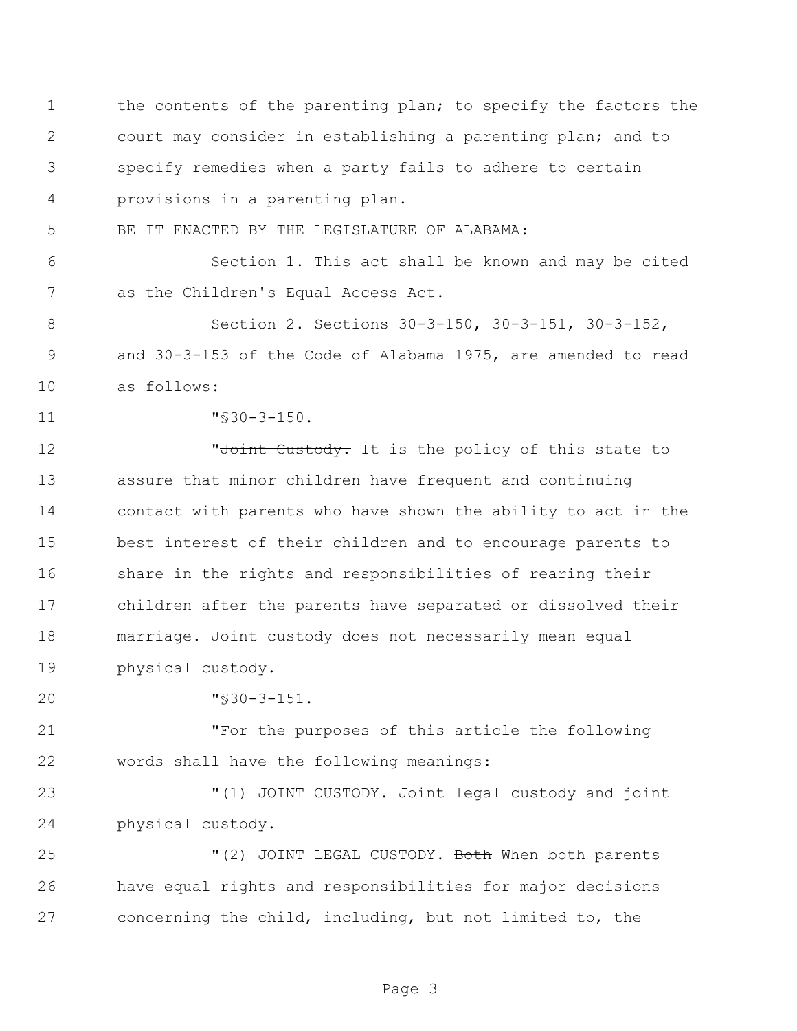the contents of the parenting plan; to specify the factors the court may consider in establishing a parenting plan; and to specify remedies when a party fails to adhere to certain provisions in a parenting plan. BE IT ENACTED BY THE LEGISLATURE OF ALABAMA: Section 1. This act shall be known and may be cited as the Children's Equal Access Act. Section 2. Sections 30-3-150, 30-3-151, 30-3-152, and 30-3-153 of the Code of Alabama 1975, are amended to read as follows: "§30-3-150. **12 W** The The Custody. It is the policy of this state to assure that minor children have frequent and continuing contact with parents who have shown the ability to act in the best interest of their children and to encourage parents to share in the rights and responsibilities of rearing their children after the parents have separated or dissolved their 18 marriage. Joint custody does not necessarily mean equal **physical custody.**  "§30-3-151. "For the purposes of this article the following words shall have the following meanings: "(1) JOINT CUSTODY. Joint legal custody and joint physical custody. 25 "(2) JOINT LEGAL CUSTODY. Both When both parents have equal rights and responsibilities for major decisions concerning the child, including, but not limited to, the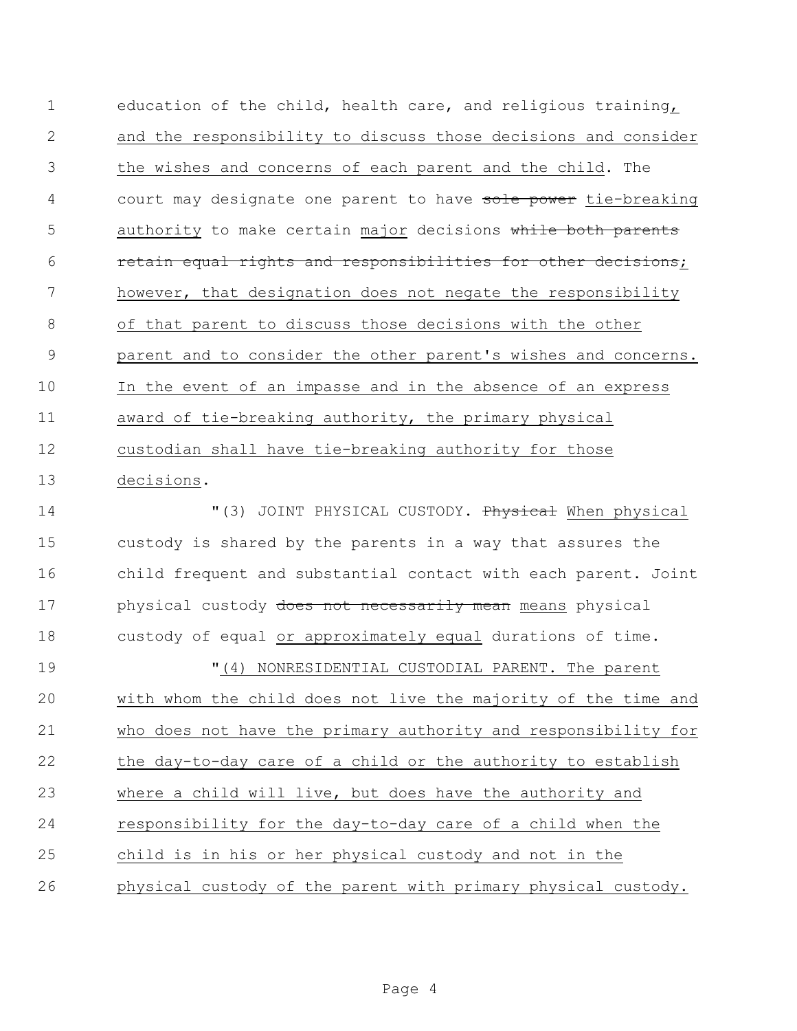education of the child, health care, and religious training, and the responsibility to discuss those decisions and consider the wishes and concerns of each parent and the child. The 4 court may designate one parent to have sole power tie-breaking 5 authority to make certain major decisions while both parents **retain equal rights and responsibilities for other decisions;**  however, that designation does not negate the responsibility of that parent to discuss those decisions with the other parent and to consider the other parent's wishes and concerns. In the event of an impasse and in the absence of an express award of tie-breaking authority, the primary physical custodian shall have tie-breaking authority for those decisions.

 $(3)$  JOINT PHYSICAL CUSTODY. Physical When physical custody is shared by the parents in a way that assures the child frequent and substantial contact with each parent. Joint 17 bhysical custody does not necessarily mean means physical custody of equal or approximately equal durations of time. "(4) NONRESIDENTIAL CUSTODIAL PARENT. The parent with whom the child does not live the majority of the time and who does not have the primary authority and responsibility for the day-to-day care of a child or the authority to establish where a child will live, but does have the authority and responsibility for the day-to-day care of a child when the child is in his or her physical custody and not in the physical custody of the parent with primary physical custody.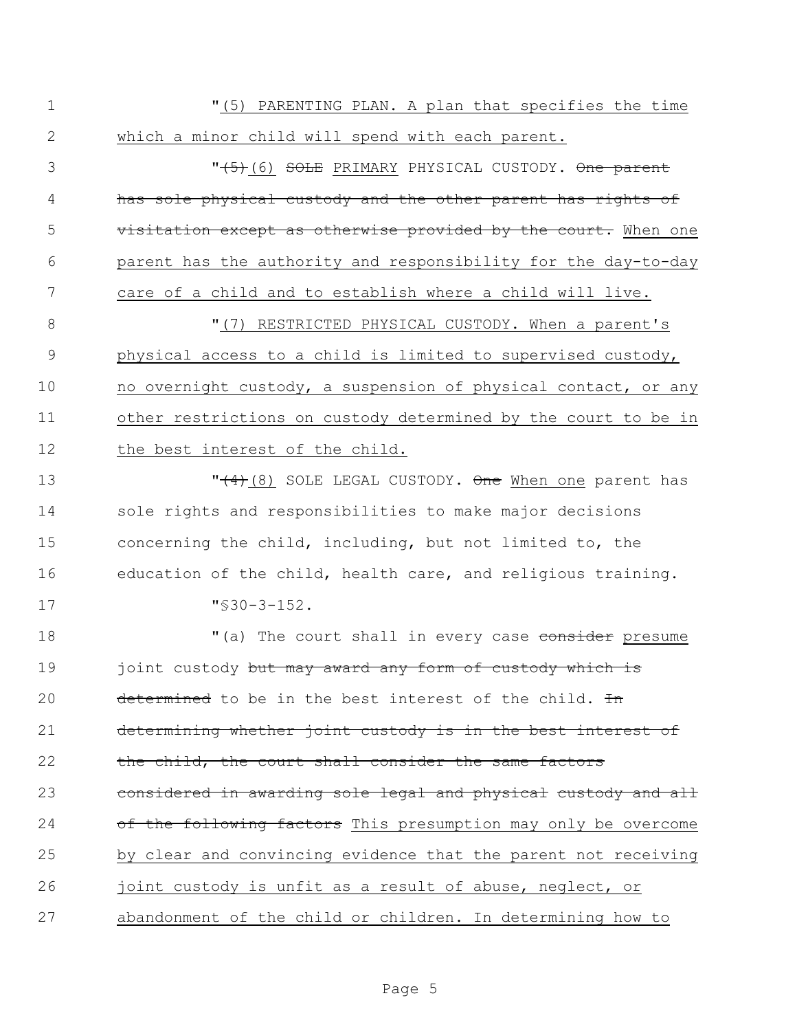"(5) PARENTING PLAN. A plan that specifies the time which a minor child will spend with each parent.

 "(5)(6) SOLE PRIMARY PHYSICAL CUSTODY. One parent has sole physical custody and the other parent has rights of **visitation except as otherwise provided by the court.** When one parent has the authority and responsibility for the day-to-day care of a child and to establish where a child will live.

 $(7)$  RESTRICTED PHYSICAL CUSTODY. When a parent's physical access to a child is limited to supervised custody, no overnight custody, a suspension of physical contact, or any other restrictions on custody determined by the court to be in the best interest of the child.

**T** (4)(8) SOLE LEGAL CUSTODY. One When one parent has sole rights and responsibilities to make major decisions concerning the child, including, but not limited to, the education of the child, health care, and religious training. "§30-3-152.

18  $(18)$   $(20)$  The court shall in every case consider presume 19 joint custody but may award any form of custody which is 20 determined to be in the best interest of the child.  $\pm n$  determining whether joint custody is in the best interest of 22 the child, the court shall consider the same factors 23 considered in awarding sole legal and physical custody and all 24 of the following factors This presumption may only be overcome by clear and convincing evidence that the parent not receiving 26 joint custody is unfit as a result of abuse, neglect, or abandonment of the child or children. In determining how to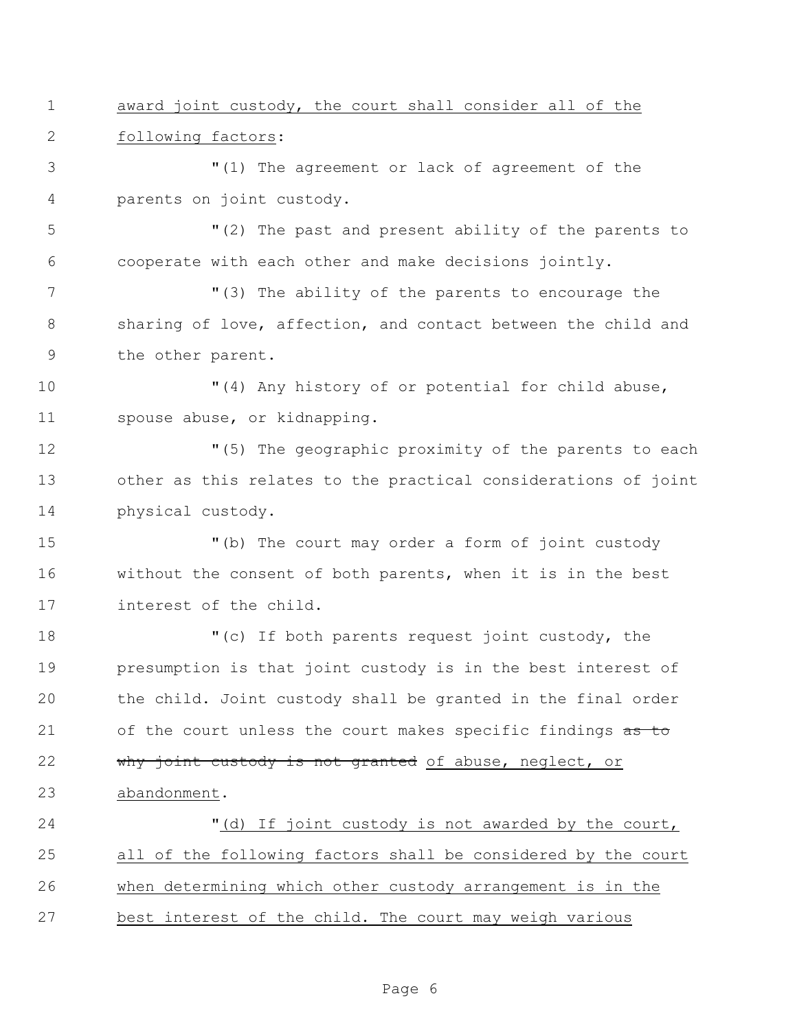award joint custody, the court shall consider all of the following factors:

 "(1) The agreement or lack of agreement of the parents on joint custody.

 "(2) The past and present ability of the parents to cooperate with each other and make decisions jointly.

7 The ability of the parents to encourage the sharing of love, affection, and contact between the child and the other parent.

 "(4) Any history of or potential for child abuse, spouse abuse, or kidnapping.

 "(5) The geographic proximity of the parents to each other as this relates to the practical considerations of joint physical custody.

 "(b) The court may order a form of joint custody without the consent of both parents, when it is in the best interest of the child.

18 "(c) If both parents request joint custody, the presumption is that joint custody is in the best interest of the child. Joint custody shall be granted in the final order 21 of the court unless the court makes specific findings as to 22 why joint custody is not granted of abuse, neglect, or abandonment.

 "(d) If joint custody is not awarded by the court, all of the following factors shall be considered by the court when determining which other custody arrangement is in the best interest of the child. The court may weigh various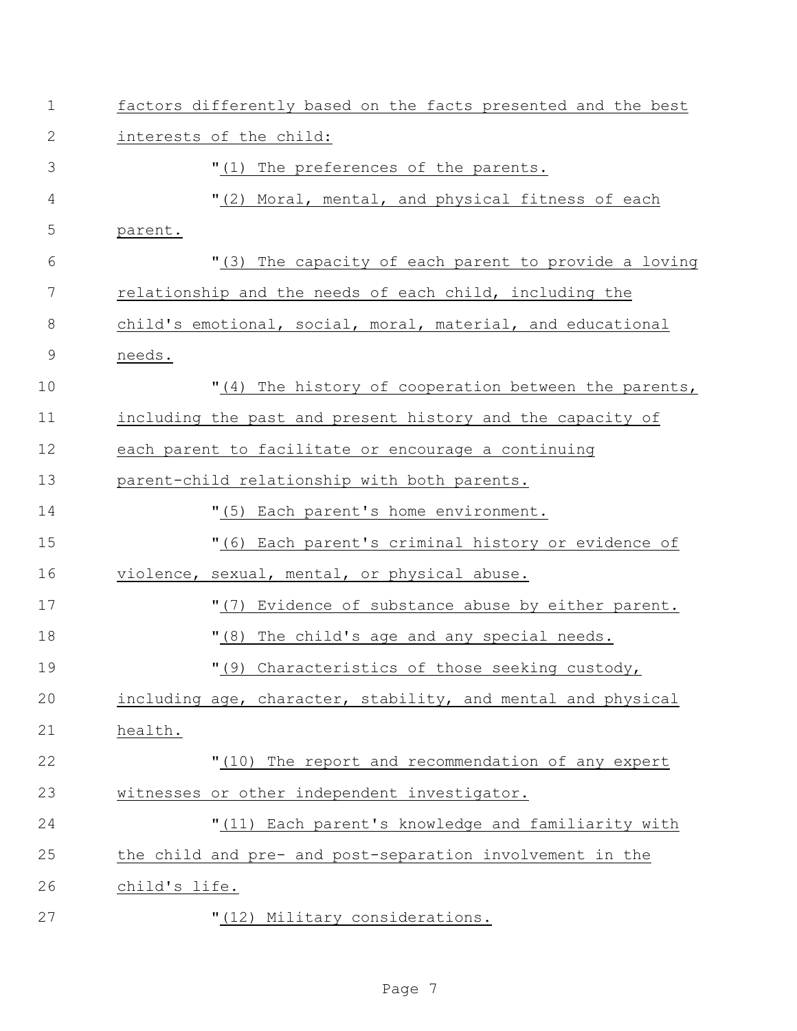| $\mathbf 1$   | factors differently based on the facts presented and the best |
|---------------|---------------------------------------------------------------|
| 2             | interests of the child:                                       |
| 3             | "(1) The preferences of the parents.                          |
| 4             | "(2) Moral, mental, and physical fitness of each              |
| 5             | parent.                                                       |
| 6             | "(3) The capacity of each parent to provide a loving          |
| 7             | relationship and the needs of each child, including the       |
| 8             | child's emotional, social, moral, material, and educational   |
| $\mathcal{G}$ | needs.                                                        |
| 10            | "(4) The history of cooperation between the parents,          |
| 11            | including the past and present history and the capacity of    |
| 12            | each parent to facilitate or encourage a continuing           |
| 13            | parent-child relationship with both parents.                  |
| 14            | "(5) Each parent's home environment.                          |
| 15            | "(6) Each parent's criminal history or evidence of            |
| 16            | violence, sexual, mental, or physical abuse.                  |
| 17            | "(7) Evidence of substance abuse by either parent.            |
| 18            | "(8) The child's age and any special needs.                   |
| 19            | "(9) Characteristics of those seeking custody,                |
| 20            | including age, character, stability, and mental and physical  |
| 21            | health.                                                       |
| 22            | "(10) The report and recommendation of any expert             |
| 23            | witnesses or other independent investigator.                  |
| 24            | "(11) Each parent's knowledge and familiarity with            |
| 25            | the child and pre- and post-separation involvement in the     |
| 26            | child's life.                                                 |
| 27            | "(12) Military considerations.                                |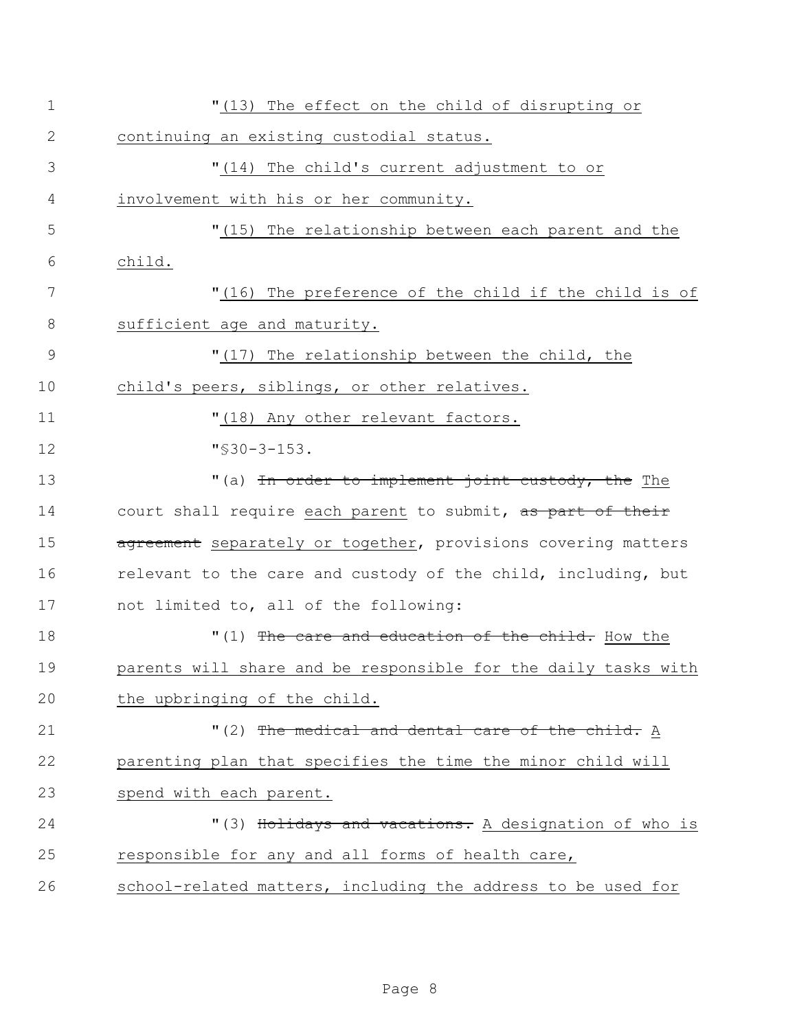| $\mathbf 1$  | "(13) The effect on the child of disrupting or                 |
|--------------|----------------------------------------------------------------|
| $\mathbf{2}$ | continuing an existing custodial status.                       |
| 3            | "(14) The child's current adjustment to or                     |
| 4            | involvement with his or her community.                         |
| 5            | "(15) The relationship between each parent and the             |
| 6            | child.                                                         |
| 7            | "(16) The preference of the child if the child is of           |
| $8\,$        | sufficient age and maturity.                                   |
| $\mathsf 9$  | "(17) The relationship between the child, the                  |
| 10           | child's peers, siblings, or other relatives.                   |
| 11           | "(18) Any other relevant factors.                              |
| 12           | $"$ \$30-3-153.                                                |
| 13           | "(a) In order to implement joint custody, the The              |
| 14           | court shall require each parent to submit, as part of their    |
| 15           | agreement separately or together, provisions covering matters  |
| 16           | relevant to the care and custody of the child, including, but  |
| 17           | not limited to, all of the following:                          |
| 18           | "(1) The care and education of the child. How the              |
| 19           | parents will share and be responsible for the daily tasks with |
| 20           | the upbringing of the child.                                   |
| 21           | "(2) The medical and dental care of the child. A               |
| 22           | parenting plan that specifies the time the minor child will    |
| 23           | spend with each parent.                                        |
| 24           | "(3) Holidays and vacations. A designation of who is           |
| 25           | responsible for any and all forms of health care,              |
| 26           | school-related matters, including the address to be used for   |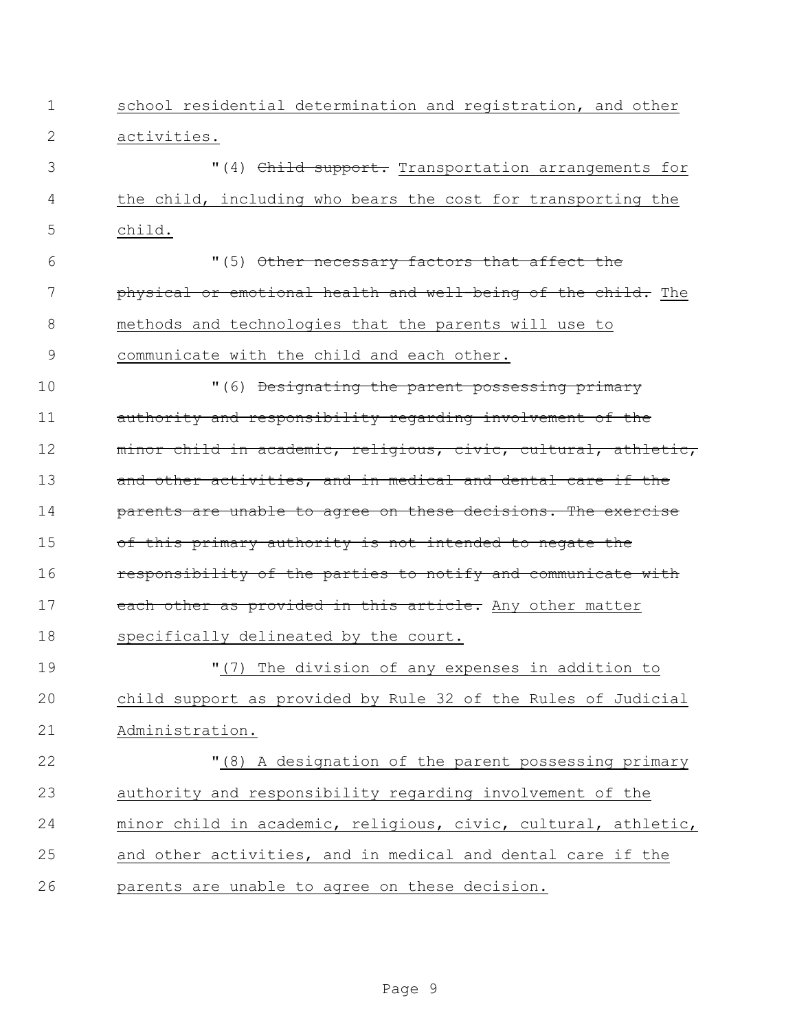| 1  | school residential determination and registration, and other   |
|----|----------------------------------------------------------------|
| 2  | activities.                                                    |
| 3  | "(4) Child support. Transportation arrangements for            |
| 4  | the child, including who bears the cost for transporting the   |
| 5  | child.                                                         |
| 6  | "(5) Other necessary factors that affect the                   |
| 7  | physical or emotional health and well-being of the child. The  |
| 8  | methods and technologies that the parents will use to          |
| 9  | communicate with the child and each other.                     |
| 10 | "(6) Designating the parent possessing primary                 |
| 11 | authority and responsibility regarding involvement of the      |
| 12 | minor child in academic, religious, civic, cultural, athletic, |
| 13 | and other activities, and in medical and dental care if the    |
| 14 | parents are unable to agree on these decisions. The exercise   |
| 15 | of this primary authority is not intended to negate the        |
| 16 | responsibility of the parties to notify and communicate with   |
| 17 | each other as provided in this article. Any other matter       |
| 18 | specifically delineated by the court.                          |
| 19 | "(7) The division of any expenses in addition to               |
| 20 | child support as provided by Rule 32 of the Rules of Judicial  |
| 21 | Administration.                                                |
| 22 | "(8) A designation of the parent possessing primary            |
| 23 | authority and responsibility regarding involvement of the      |
| 24 | minor child in academic, religious, civic, cultural, athletic, |
| 25 | and other activities, and in medical and dental care if the    |
| 26 | parents are unable to agree on these decision.                 |
|    |                                                                |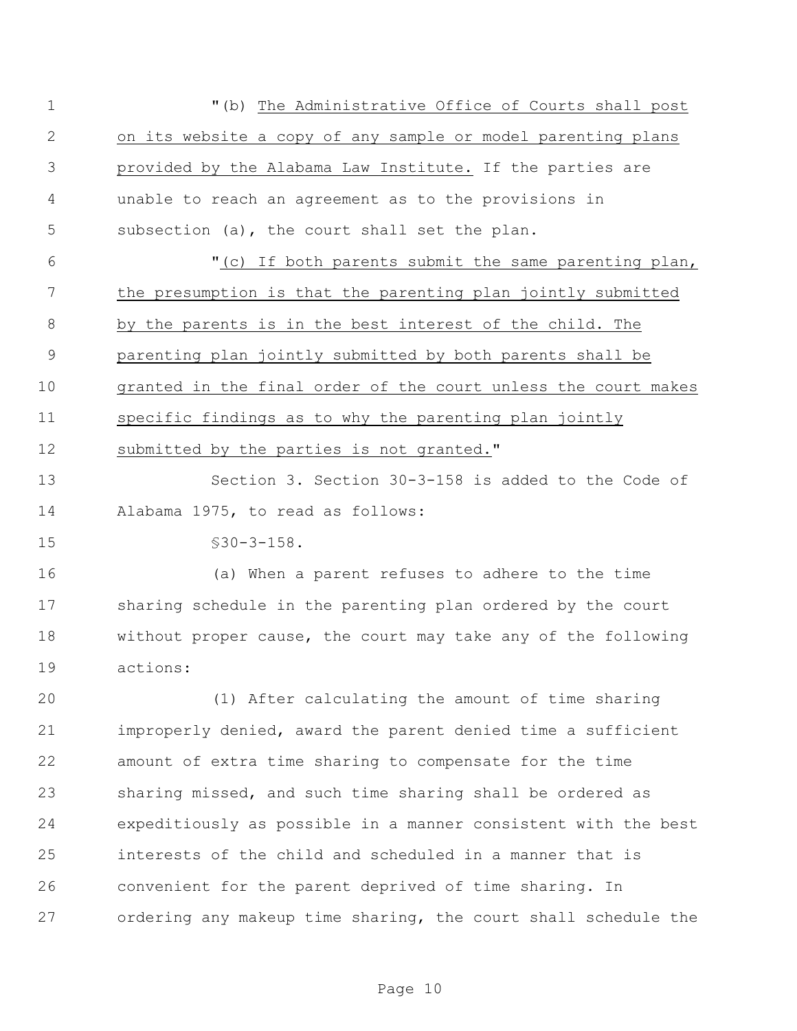| $\mathbf 1$  | "(b) The Administrative Office of Courts shall post            |
|--------------|----------------------------------------------------------------|
| $\mathbf{2}$ | on its website a copy of any sample or model parenting plans   |
| 3            | provided by the Alabama Law Institute. If the parties are      |
| 4            | unable to reach an agreement as to the provisions in           |
| 5            | subsection (a), the court shall set the plan.                  |
| 6            | "(c) If both parents submit the same parenting plan,           |
| 7            | the presumption is that the parenting plan jointly submitted   |
| 8            | by the parents is in the best interest of the child. The       |
| $\mathsf 9$  | parenting plan jointly submitted by both parents shall be      |
| 10           | granted in the final order of the court unless the court makes |
| 11           | specific findings as to why the parenting plan jointly         |
| 12           | submitted by the parties is not granted."                      |
| 13           | Section 3. Section 30-3-158 is added to the Code of            |
| 14           | Alabama 1975, to read as follows:                              |
| 15           | $$30-3-158.$                                                   |
| 16           | (a) When a parent refuses to adhere to the time                |
| 17           | sharing schedule in the parenting plan ordered by the court    |
| 18           | without proper cause, the court may take any of the following  |
| 19           | actions:                                                       |
| 20           | (1) After calculating the amount of time sharing               |
| 21           | improperly denied, award the parent denied time a sufficient   |
| 22           | amount of extra time sharing to compensate for the time        |
| 23           | sharing missed, and such time sharing shall be ordered as      |
| 24           | expeditiously as possible in a manner consistent with the best |
| 25           | interests of the child and scheduled in a manner that is       |
| 26           | convenient for the parent deprived of time sharing. In         |
| 27           | ordering any makeup time sharing, the court shall schedule the |